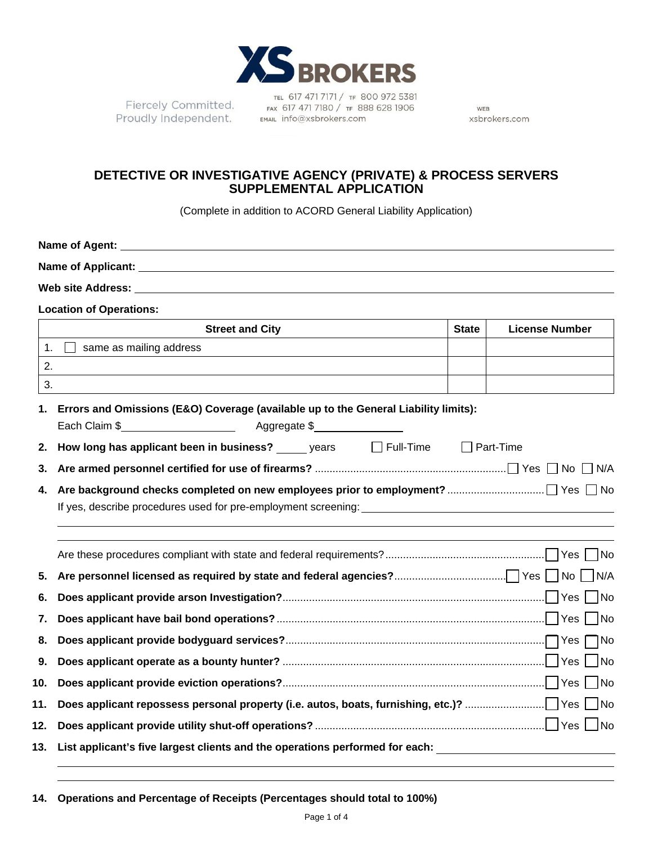

Fiercely Committed. Proudly Independent. EMAIL Info@xsbrokers.com

TEL 617 471 7171 / TF 800 972 5381 FAX 617 471 7180 / TF 888 628 1906

WEB xsbrokers.com

# **DETECTIVE OR INVESTIGATIVE AGENCY (PRIVATE) & PROCESS SERVERS SUPPLEMENTAL APPLICATION**

(Complete in addition to ACORD General Liability Application)

|                | <b>Location of Operations:</b>                                                                             |              |                       |  |  |  |  |
|----------------|------------------------------------------------------------------------------------------------------------|--------------|-----------------------|--|--|--|--|
|                | <b>Street and City</b>                                                                                     | <b>State</b> | <b>License Number</b> |  |  |  |  |
| $\mathbf{1}$ . | same as mailing address                                                                                    |              |                       |  |  |  |  |
| 2.             |                                                                                                            |              |                       |  |  |  |  |
| 3.             |                                                                                                            |              |                       |  |  |  |  |
| 1.             | Errors and Omissions (E&O) Coverage (available up to the General Liability limits):                        |              |                       |  |  |  |  |
|                |                                                                                                            |              |                       |  |  |  |  |
| 2.             | How long has applicant been in business? ______ years ______ Full-Time ______ Part-Time                    |              |                       |  |  |  |  |
| 3.             |                                                                                                            |              |                       |  |  |  |  |
| 4.             |                                                                                                            |              |                       |  |  |  |  |
|                |                                                                                                            |              |                       |  |  |  |  |
|                |                                                                                                            |              |                       |  |  |  |  |
|                |                                                                                                            |              |                       |  |  |  |  |
| 5.             |                                                                                                            |              |                       |  |  |  |  |
| 6.             |                                                                                                            |              |                       |  |  |  |  |
| 7.             |                                                                                                            |              |                       |  |  |  |  |
| 8.             |                                                                                                            |              |                       |  |  |  |  |
| 9.             |                                                                                                            |              |                       |  |  |  |  |
| 10.            |                                                                                                            |              |                       |  |  |  |  |
| 11.            |                                                                                                            |              |                       |  |  |  |  |
| 12.            |                                                                                                            |              |                       |  |  |  |  |
|                | 13. List applicant's five largest clients and the operations performed for each: _________________________ |              |                       |  |  |  |  |
|                |                                                                                                            |              |                       |  |  |  |  |

**14. Operations and Percentage of Receipts (Percentages should total to 100%)**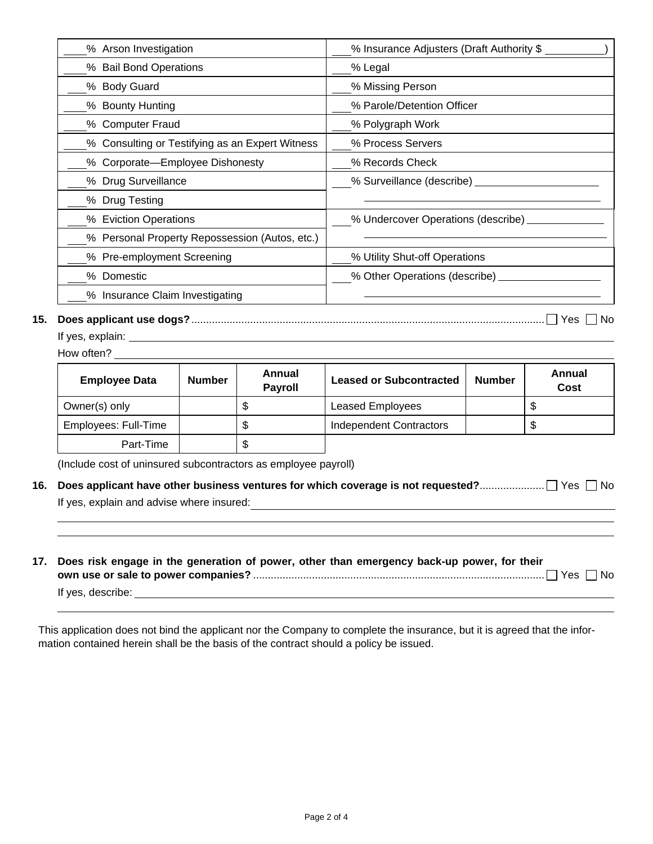| % Arson Investigation                           | % Insurance Adjusters (Draft Authority \$ |  |  |
|-------------------------------------------------|-------------------------------------------|--|--|
| % Bail Bond Operations                          | % Legal                                   |  |  |
| % Body Guard                                    | % Missing Person                          |  |  |
| % Bounty Hunting                                | % Parole/Detention Officer                |  |  |
| % Computer Fraud                                | % Polygraph Work                          |  |  |
| % Consulting or Testifying as an Expert Witness | % Process Servers                         |  |  |
| % Corporate-Employee Dishonesty                 | % Records Check                           |  |  |
| % Drug Surveillance                             | % Surveillance (describe)                 |  |  |
| % Drug Testing                                  |                                           |  |  |
| % Eviction Operations                           | % Undercover Operations (describe)        |  |  |
| % Personal Property Repossession (Autos, etc.)  |                                           |  |  |
| % Pre-employment Screening                      | % Utility Shut-off Operations             |  |  |
| % Domestic                                      | % Other Operations (describe)             |  |  |
| % Insurance Claim Investigating                 |                                           |  |  |
|                                                 |                                           |  |  |

## **15. Does applicant use dogs?** ........................................................................................................................ Yes No

If yes, explain:

How often?

| <b>Employee Data</b> | <b>Number</b> | Annual<br><b>Payroll</b> | <b>Leased or Subcontracted</b> | <b>Number</b> | Annual<br>Cost |
|----------------------|---------------|--------------------------|--------------------------------|---------------|----------------|
| Owner(s) only        |               |                          | <b>Leased Employees</b>        |               | \$.            |
| Employees: Full-Time |               |                          | <b>Independent Contractors</b> |               | S              |
| Part-Time            |               |                          |                                |               |                |

(Include cost of uninsured subcontractors as employee payroll)

| If yes, explain and advise where insured: |  |
|-------------------------------------------|--|

**17. Does risk engage in the generation of power, other than emergency back-up power, for their** 

|                   | 7es ∤ | No. |
|-------------------|-------|-----|
| If yes, describe: |       |     |

This application does not bind the applicant nor the Company to complete the insurance, but it is agreed that the information contained herein shall be the basis of the contract should a policy be issued.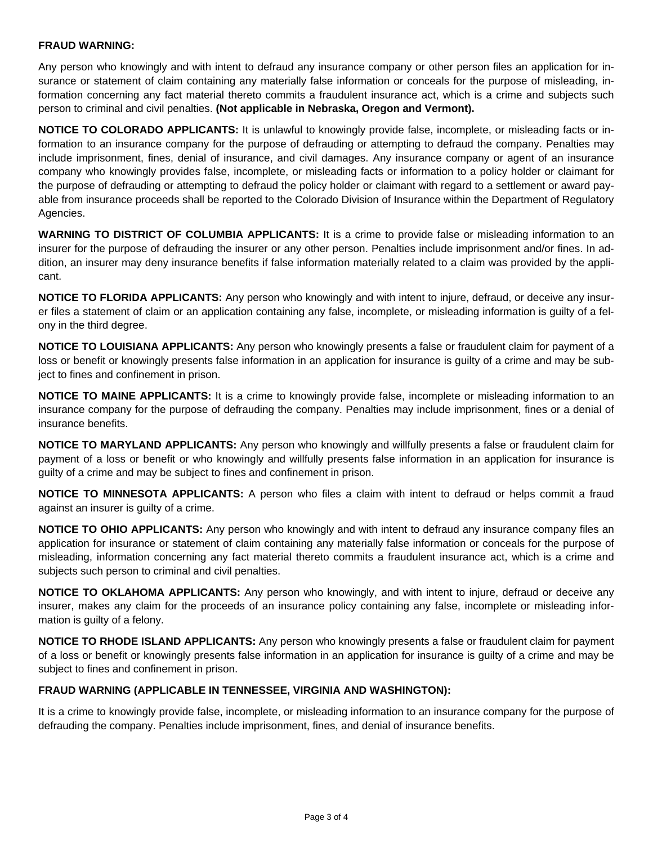#### **FRAUD WARNING:**

Any person who knowingly and with intent to defraud any insurance company or other person files an application for insurance or statement of claim containing any materially false information or conceals for the purpose of misleading, information concerning any fact material thereto commits a fraudulent insurance act, which is a crime and subjects such person to criminal and civil penalties. **(Not applicable in Nebraska, Oregon and Vermont).**

**NOTICE TO COLORADO APPLICANTS:** It is unlawful to knowingly provide false, incomplete, or misleading facts or information to an insurance company for the purpose of defrauding or attempting to defraud the company. Penalties may include imprisonment, fines, denial of insurance, and civil damages. Any insurance company or agent of an insurance company who knowingly provides false, incomplete, or misleading facts or information to a policy holder or claimant for the purpose of defrauding or attempting to defraud the policy holder or claimant with regard to a settlement or award payable from insurance proceeds shall be reported to the Colorado Division of Insurance within the Department of Regulatory Agencies.

**WARNING TO DISTRICT OF COLUMBIA APPLICANTS:** It is a crime to provide false or misleading information to an insurer for the purpose of defrauding the insurer or any other person. Penalties include imprisonment and/or fines. In addition, an insurer may deny insurance benefits if false information materially related to a claim was provided by the applicant.

**NOTICE TO FLORIDA APPLICANTS:** Any person who knowingly and with intent to injure, defraud, or deceive any insurer files a statement of claim or an application containing any false, incomplete, or misleading information is guilty of a felony in the third degree.

**NOTICE TO LOUISIANA APPLICANTS:** Any person who knowingly presents a false or fraudulent claim for payment of a loss or benefit or knowingly presents false information in an application for insurance is guilty of a crime and may be subject to fines and confinement in prison.

**NOTICE TO MAINE APPLICANTS:** It is a crime to knowingly provide false, incomplete or misleading information to an insurance company for the purpose of defrauding the company. Penalties may include imprisonment, fines or a denial of insurance benefits.

**NOTICE TO MARYLAND APPLICANTS:** Any person who knowingly and willfully presents a false or fraudulent claim for payment of a loss or benefit or who knowingly and willfully presents false information in an application for insurance is guilty of a crime and may be subject to fines and confinement in prison.

**NOTICE TO MINNESOTA APPLICANTS:** A person who files a claim with intent to defraud or helps commit a fraud against an insurer is guilty of a crime.

**NOTICE TO OHIO APPLICANTS:** Any person who knowingly and with intent to defraud any insurance company files an application for insurance or statement of claim containing any materially false information or conceals for the purpose of misleading, information concerning any fact material thereto commits a fraudulent insurance act, which is a crime and subjects such person to criminal and civil penalties.

**NOTICE TO OKLAHOMA APPLICANTS:** Any person who knowingly, and with intent to injure, defraud or deceive any insurer, makes any claim for the proceeds of an insurance policy containing any false, incomplete or misleading information is guilty of a felony.

**NOTICE TO RHODE ISLAND APPLICANTS:** Any person who knowingly presents a false or fraudulent claim for payment of a loss or benefit or knowingly presents false information in an application for insurance is guilty of a crime and may be subject to fines and confinement in prison.

### **FRAUD WARNING (APPLICABLE IN TENNESSEE, VIRGINIA AND WASHINGTON):**

It is a crime to knowingly provide false, incomplete, or misleading information to an insurance company for the purpose of defrauding the company. Penalties include imprisonment, fines, and denial of insurance benefits.